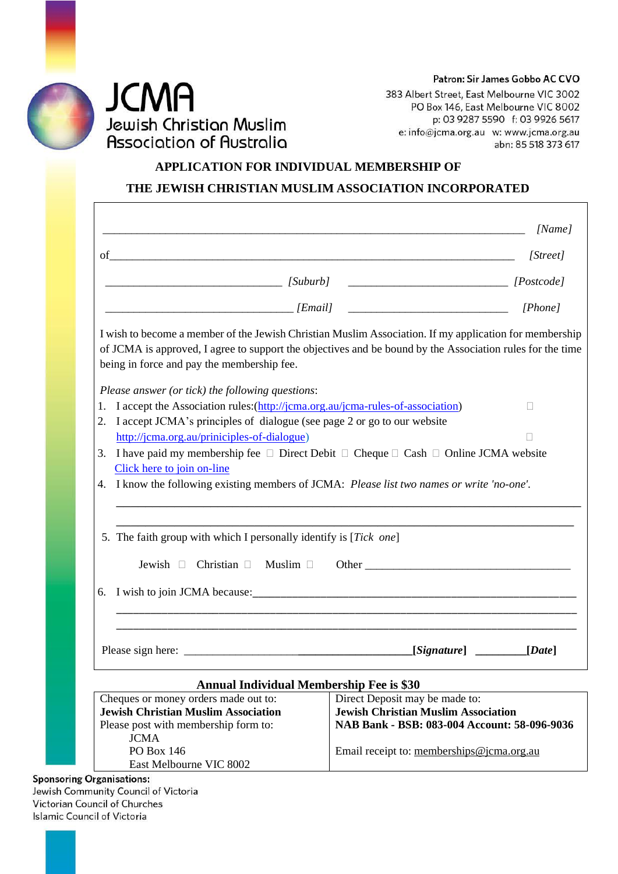Patron: Sir James Gobbo AC CVO



 $\Gamma$ 

383 Albert Street, East Melbourne VIC 3002 PO Box 146, East Melbourne VIC 8002 p: 03 9287 5590 f: 03 9926 5617 e: info@jcma.org.au w: www.jcma.org.au abn: 85 518 373 617

## **APPLICATION FOR INDIVIDUAL MEMBERSHIP OF THE JEWISH CHRISTIAN MUSLIM ASSOCIATION INCORPORATED**

|                                                                                                                                                                                                                                                                   |                                                 | [Name]       |  |
|-------------------------------------------------------------------------------------------------------------------------------------------------------------------------------------------------------------------------------------------------------------------|-------------------------------------------------|--------------|--|
| $of$ $\overline{\phantom{a}}$                                                                                                                                                                                                                                     |                                                 | [Street]     |  |
| $[Suburb]$ $[Suburb]$ $[Postcode]$                                                                                                                                                                                                                                |                                                 |              |  |
|                                                                                                                                                                                                                                                                   |                                                 | [Phone]      |  |
| I wish to become a member of the Jewish Christian Muslim Association. If my application for membership<br>of JCMA is approved, I agree to support the objectives and be bound by the Association rules for the time<br>being in force and pay the membership fee. |                                                 |              |  |
| Please answer (or tick) the following questions:                                                                                                                                                                                                                  |                                                 |              |  |
| 1. I accept the Association rules: (http://jcma.org.au/jcma-rules-of-association)                                                                                                                                                                                 |                                                 | $\mathbf{L}$ |  |
| 2. I accept JCMA's principles of dialogue (see page 2 or go to our website                                                                                                                                                                                        |                                                 |              |  |
| http://jcma.org.au/priniciples-of-dialogue)                                                                                                                                                                                                                       |                                                 |              |  |
| 3. I have paid my membership fee $\Box$ Direct Debit $\Box$ Cheque $\Box$ Cash $\Box$ Online JCMA website                                                                                                                                                         |                                                 |              |  |
| Click here to join on-line                                                                                                                                                                                                                                        |                                                 |              |  |
| 4. I know the following existing members of JCMA: Please list two names or write 'no-one'.                                                                                                                                                                        |                                                 |              |  |
| 5. The faith group with which I personally identify is [Tick one]<br>Jewish $\Box$ Christian $\Box$<br>Muslim $\Box$                                                                                                                                              |                                                 |              |  |
|                                                                                                                                                                                                                                                                   |                                                 |              |  |
|                                                                                                                                                                                                                                                                   |                                                 | [Date]       |  |
|                                                                                                                                                                                                                                                                   | <b>Annual Individual Membership Fee is \$30</b> |              |  |
| Cheques or money orders made out to:                                                                                                                                                                                                                              | Direct Deposit may be made to:                  |              |  |
| <b>Jewish Christian Muslim Association</b>                                                                                                                                                                                                                        | <b>Jewish Christian Muslim Association</b>      |              |  |
| Please post with membership form to:                                                                                                                                                                                                                              | NAB Bank - BSB: 083-004 Account: 58-096-9036    |              |  |
| <b>JCMA</b>                                                                                                                                                                                                                                                       |                                                 |              |  |
| <b>PO Box 146</b>                                                                                                                                                                                                                                                 | Email receipt to: memberships@jcma.org.au       |              |  |
| East Melbourne VIC 8002<br><b>Sponsoring Organisations:</b>                                                                                                                                                                                                       |                                                 |              |  |

Victorian C **Islamic Council of Victoria**